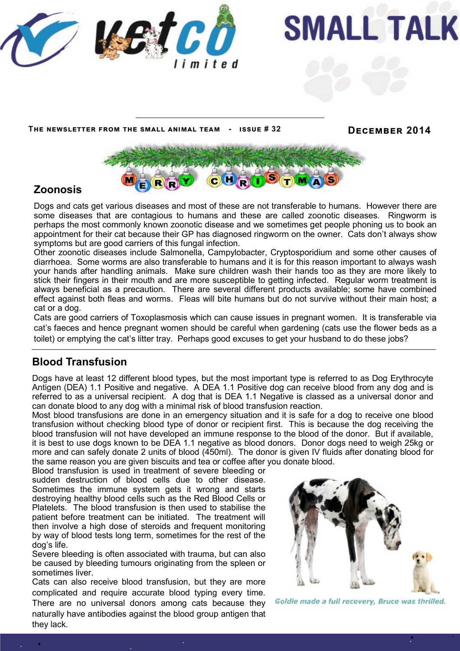



**The newsletter from the small animal team - issue # 32 December 2014**



## **Zoonosis**

Dogs and cats get various diseases and most of these are not transferable to humans. However there are some diseases that are contagious to humans and these are called zoonotic diseases. Ringworm is perhaps the most commonly known zoonotic disease and we sometimes get people phoning us to book an appointment for their cat because their GP has diagnosed ringworm on the owner. Cats don't always show symptoms but are good carriers of this fungal infection.

Other zoonotic diseases include Salmonella, Campylobacter, Cryptosporidium and some other causes of diarrhoea. Some worms are also transferable to humans and it is for this reason important to always wash your hands after handling animals. Make sure children wash their hands too as they are more likely to stick their fingers in their mouth and are more susceptible to getting infected. Regular worm treatment is always beneficial as a precaution. There are several different products available; some have combined effect against both fleas and worms. Fleas will bite humans but do not survive without their main host; a cat or a dog.

Cats are good carriers of Toxoplasmosis which can cause issues in pregnant women. It is transferable via cat's faeces and hence pregnant women should be careful when gardening (cats use the flower beds as a toilet) or emptying the cat's litter tray. Perhaps good excuses to get your husband to do these jobs?

## **Blood Transfusion**

Dogs have at least 12 different blood types, but the most important type is referred to as Dog Erythrocyte Antigen (DEA) 1.1 Positive and negative. A DEA 1.1 Positive dog can receive blood from any dog and is referred to as a universal recipient. A dog that is DEA 1.1 Negative is classed as a universal donor and can donate blood to any dog with a minimal risk of blood transfusion reaction.

Most blood transfusions are done in an emergency situation and it is safe for a dog to receive one blood transfusion without checking blood type of donor or recipient first. This is because the dog receiving the blood transfusion will not have developed an immune response to the blood of the donor. But if available, it is best to use dogs known to be DEA 1.1 negative as blood donors. Donor dogs need to weigh 25kg or more and can safely donate 2 units of blood (450ml). The donor is given IV fluids after donating blood for the same reason you are given biscuits and tea or coffee after you donate blood.

Blood transfusion is used in treatment of severe bleeding or sudden destruction of blood cells due to other disease. Sometimes the immune system gets it wrong and starts destroying healthy blood cells such as the Red Blood Cells or Platelets. The blood transfusion is then used to stabilise the patient before treatment can be initiated. The treatment will then involve a high dose of steroids and frequent monitoring by way of blood tests long term, sometimes for the rest of the dog's life.

Severe bleeding is often associated with trauma, but can also be caused by bleeding tumours originating from the spleen or sometimes liver.

Cats can also receive blood transfusion, but they are more complicated and require accurate blood typing every time. There are no universal donors among cats because they naturally have antibodies against the blood group antigen that they lack.



Goldie made a full recovery, Bruce was thrilled.